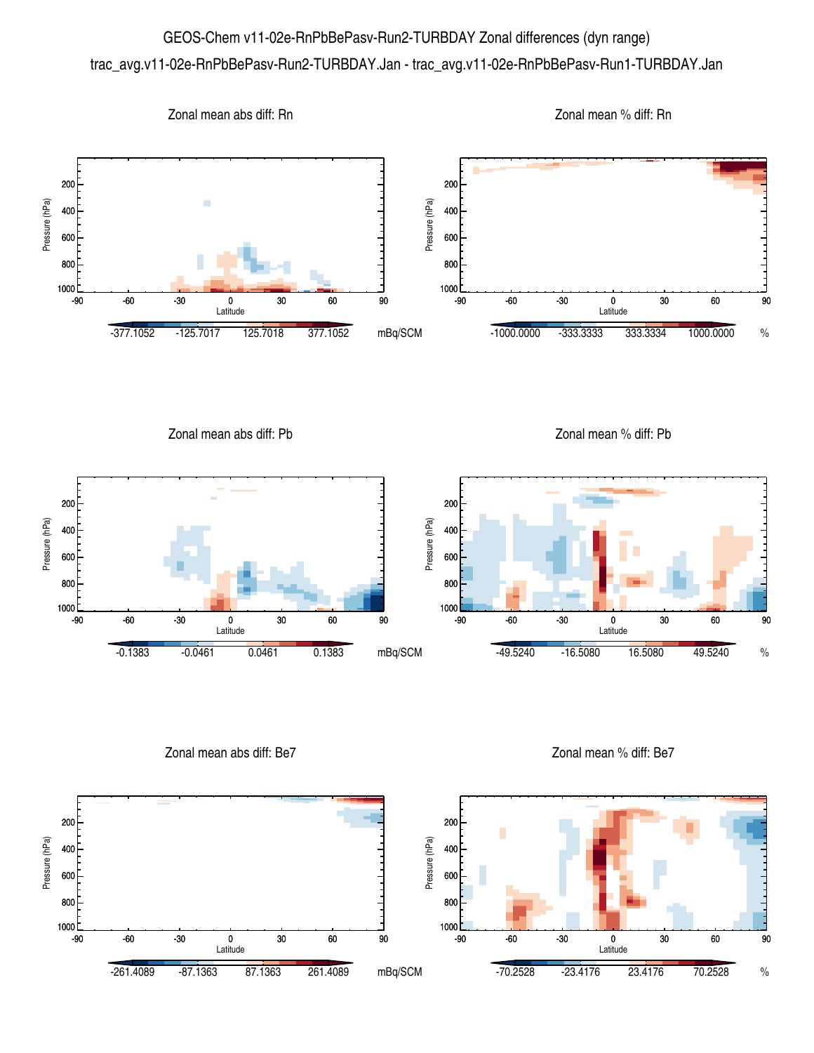## GEOS-Chem v11-02e-RnPbBePasv-Run2-TURBDAY Zonal differences (dyn range) trac\_avg.v11-02e-RnPbBePasv-Run2-TURBDAY.Jan - trac\_avg.v11-02e-RnPbBePasv-Run1-TURBDAY.Jan



Zonal mean abs diff: Pb

Zonal mean % diff: Pb



Zonal mean abs diff: Be7

Zonal mean % diff: Be7